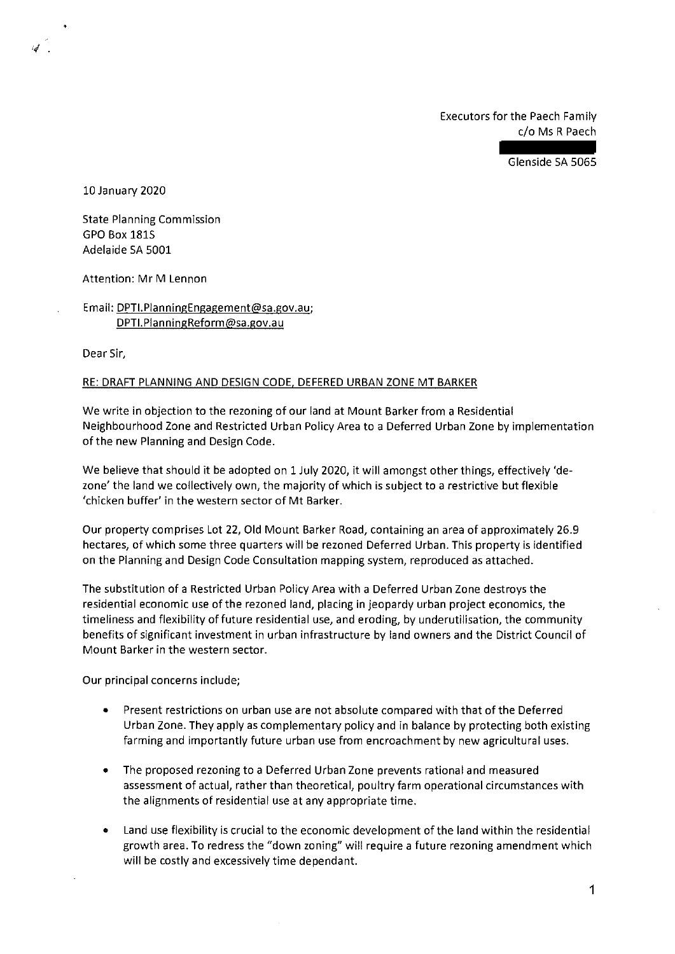Executors for the Paech Family c/o Ms R Paech

Glenside SA 5065

10 January 2020

State Planning Commission GPO Box 1815 Adelaide SA 5001

Attention: Mr M Lennon

Email: DPTI.PlanningEngagement@sa.gov.au; DPTI.PlanningReform@sa.gov.au

Dear Sir,

## RE: DRAFT PLANNING AND DESIGN CODE, DEFERED URBAN ZONE MT BARKER

We write in objection to the rezoning of our land at Mount Barker from a Residential Neighbourhood Zone and Restricted Urban Policy Area to a Deferred Urban Zone by implementation of the new Planning and Design Code.

We believe that should it be adopted on 1 July 2020, it will amongst other things, effectively 'dezone' the land we collectively own, the majority of which is subject to a restrictive but flexible 'chicken buffer' in the western sector of Mt Barker.

Our property comprises Lot 22, Old Mount Barker Road, containing an area of approximately 26.9 hectares, of which some three quarters will be rezoned Deferred Urban. This property is identified on the Planning and Design Code Consultation mapping system, reproduced as attached.

The substitution of a Restricted Urban Policy Area with a Deferred Urban Zone destroys the residential economic use of the rezoned land, placing in jeopardy urban project economics, the timeliness and flexibility of future residential use, and eroding, by underutilisation, the community benefits of significant investment in urban infrastructure by land owners and the District Council of Mount Barker in the western sector.

Our principal concerns include;

- Present restrictions on urban use are not absolute compared with that of the Deferred Urban Zone. They apply as complementary policy and in balance by protecting both existing farming and importantly future urban use from encroachment by new agricultural uses.
- The proposed rezoning to a Deferred Urban Zone prevents rational and measured assessment of actual, rather than theoretical, poultry farm operational circumstances with the alignments of residential use at any appropriate time.
- Land use flexibility is crucial to the economic development of the land within the residential growth area. To redress the "down zoning" will require a future rezoning amendment which will be costly and excessively time dependant.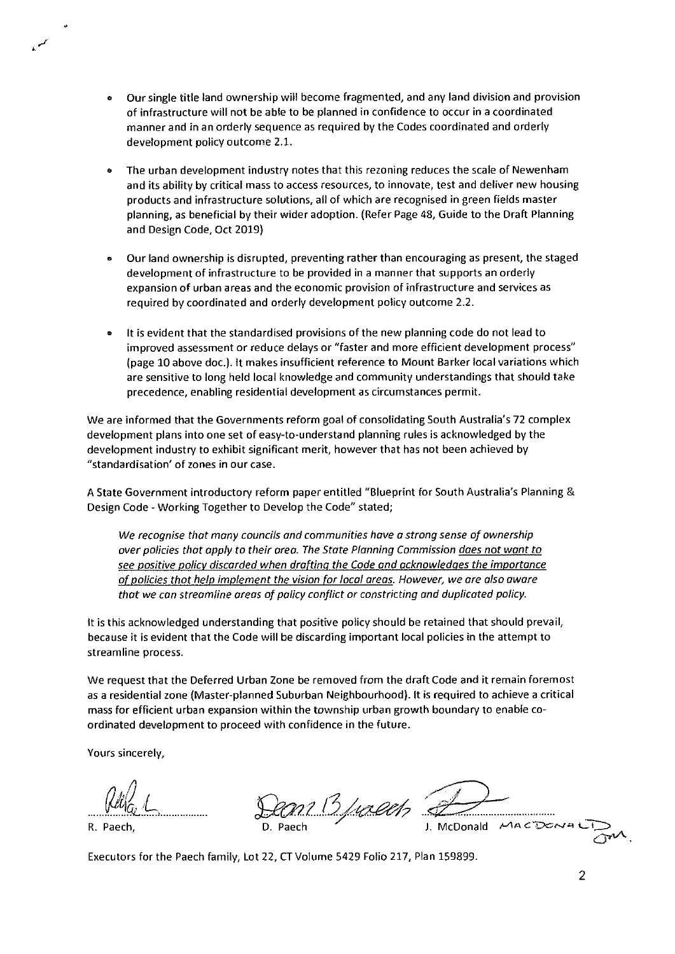- Our single title land ownership will become fragmented, and any land division and provision of infrastructure will not be able to be planned in confidence to occur in a coordinated manner and in an orderly sequence as required by the Codes coordinated and orderly development policy outcome 2.1.
- The urban development industry notes that this rezoning reduces the scale of Newenham and its ability by critical mass to access resources, to innovate, test and deliver new housing products and infrastructure solutions, all of which are recognised in green fields master planning, as beneficial by their wider adoption. (Refer Page 48, Guide to the Draft Planning and Design Code, Oct 2019)
- Our land ownership is disrupted, preventing rather than encouraging as present, the staged development of infrastructure to be provided in a manner that supports an orderly expansion of urban areas and the economic provision of infrastructure and services as required by coordinated and orderly development policy outcome 2.2.
- It is evident that the standardised provisions of the new planning code do not lead to improved assessment or reduce delays or "faster and more efficient development process" (page 10 above doc.). It makes insufficient reference to Mount Barker local variations which are sensitive to long held local knowledge and community understandings that should take precedence, enabling residential development as circumstances permit.

We are informed that the Governments reform goal of consolidating South Australia's 72 complex development plans into one set of easy-to-understand planning rules is acknowledged by the development industry to exhibit significant merit, however that has not been achieved by "standardisation' of zones in our case.

A State Government introductory reform paper entitled "Blueprint for South Australia's Planning & Design Code - Working Together to Develop the Code" stated;

We recognise that many councils and communities have a strong sense of ownership over policies that apply to their area. The State Planning Commission does not want to see positive policy discarded when drafting the Code and acknowledges the importance of policies that help implement the vision for local areas. However, we are also aware that we can streamline areas of policy conflict or constricting and duplicated policy.

It is this acknowledged understanding that positive policy should be retained that should prevail, because it is evident that the Code will be discarding important local policies in the attempt to streamline process.

We request that the Deferred Urban Zone be removed from the draft Code and it remain foremost as a residential zone (Master-planned Suburban Neighbourhood). It is required to achieve a critical mass for efficient urban expansion within the township urban growth boundary to enable coordinated development to proceed with confidence in the future.

Yours sincerely,

*(Mtg L* 

R. Paech,

an Buaech 2

J. McDonald MACDONA

Executors for the Paech family, Lot 22, CT Volume 5429 Folio 217, Plan 159899.